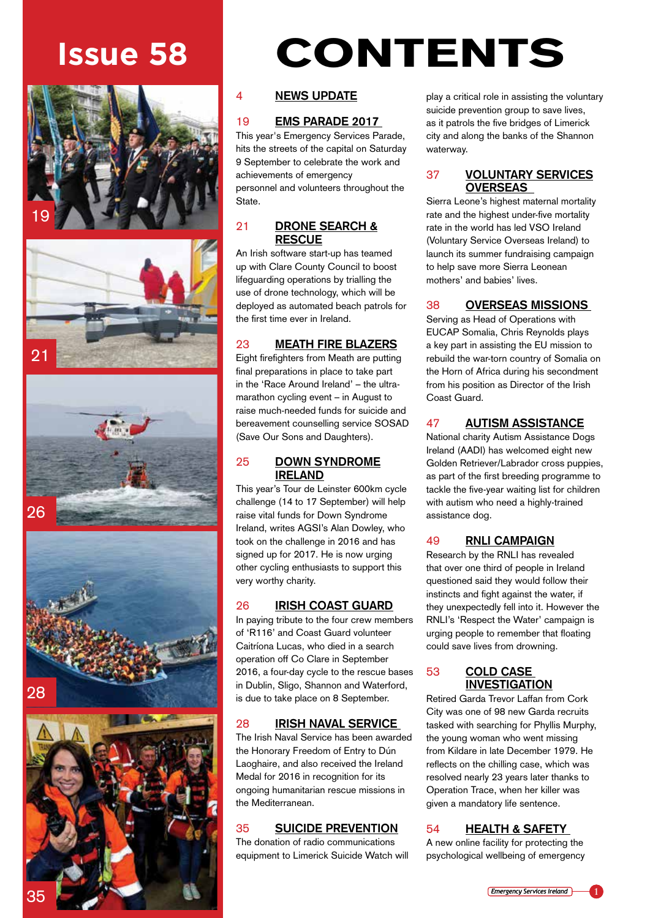









# **Issue 58** CONTENTS

# 4 **NEWS UPDATE**

# 19 **EMS PARADE 2017**

This year's Emergency Services Parade, hits the streets of the capital on Saturday 9 September to celebrate the work and achievements of emergency personnel and volunteers throughout the State.

# 21 **DRONE SEARCH & RESCUE**

An Irish software start-up has teamed up with Clare County Council to boost lifeguarding operations by trialling the use of drone technology, which will be deployed as automated beach patrols for the first time ever in Ireland.

# 23 **MEATH FIRE BLAZERS**

Eight firefighters from Meath are putting final preparations in place to take part in the 'Race Around Ireland' – the ultramarathon cycling event – in August to raise much-needed funds for suicide and bereavement counselling service SOSAD (Save Our Sons and Daughters).

# 25 **DOWN SYNDROME IRELAND**

This year's Tour de Leinster 600km cycle challenge (14 to 17 September) will help raise vital funds for Down Syndrome Ireland, writes AGSI's Alan Dowley, who took on the challenge in 2016 and has signed up for 2017. He is now urging other cycling enthusiasts to support this very worthy charity.

# 26 **IRISH COAST GUARD**

In paying tribute to the four crew members of 'R116' and Coast Guard volunteer Caitríona Lucas, who died in a search operation off Co Clare in September 2016, a four-day cycle to the rescue bases in Dublin, Sligo, Shannon and Waterford, is due to take place on 8 September.

# 28 **IRISH NAVAL SERVICE**

The Irish Naval Service has been awarded the Honorary Freedom of Entry to Dún Laoghaire, and also received the Ireland Medal for 2016 in recognition for its ongoing humanitarian rescue missions in the Mediterranean.

# 35 **SUICIDE PREVENTION**

The donation of radio communications equipment to Limerick Suicide Watch will

play a critical role in assisting the voluntary suicide prevention group to save lives, as it patrols the five bridges of Limerick city and along the banks of the Shannon waterway.

# 37 **VOLUNTARY SERVICES OVERSEAS**

Sierra Leone's highest maternal mortality rate and the highest under-five mortality rate in the world has led VSO Ireland (Voluntary Service Overseas Ireland) to launch its summer fundraising campaign to help save more Sierra Leonean mothers' and babies' lives.

# 38 **OVERSEAS MISSIONS**

Serving as Head of Operations with EUCAP Somalia, Chris Reynolds plays a key part in assisting the EU mission to rebuild the war-torn country of Somalia on the Horn of Africa during his secondment from his position as Director of the Irish Coast Guard.

# 47 **AUTISM ASSISTANCE**

National charity Autism Assistance Dogs Ireland (AADI) has welcomed eight new Golden Retriever/Labrador cross puppies, as part of the first breeding programme to tackle the five-year waiting list for children with autism who need a highly-trained assistance dog.

# 49 **RNLI CAMPAIGN**

Research by the RNLI has revealed that over one third of people in Ireland questioned said they would follow their instincts and fight against the water, if they unexpectedly fell into it. However the RNLI's 'Respect the Water' campaign is urging people to remember that floating could save lives from drowning.

# 53 **COLD CASE INVESTIGATION**

Retired Garda Trevor Laffan from Cork City was one of 98 new Garda recruits tasked with searching for Phyllis Murphy, the young woman who went missing from Kildare in late December 1979. He reflects on the chilling case, which was resolved nearly 23 years later thanks to Operation Trace, when her killer was given a mandatory life sentence.

# 54 **HEALTH & SAFETY**

A new online facility for protecting the psychological wellbeing of emergency

*Emergency Services Ireland* **1**